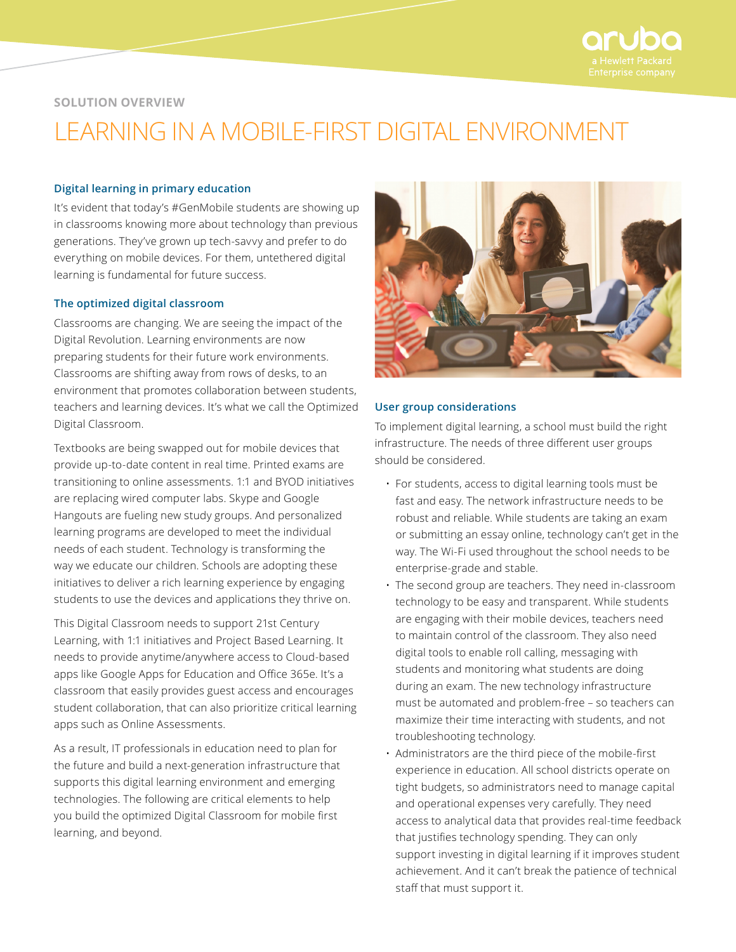

# **SOLUTION OVERVIEW**

# LEARNING IN A MOBILE-FIRST DIGITAL ENVIRONMENT

# **Digital learning in primary education**

It's evident that today's #GenMobile students are showing up in classrooms knowing more about technology than previous generations. They've grown up tech-savvy and prefer to do everything on mobile devices. For them, untethered digital learning is fundamental for future success.

#### **The optimized digital classroom**

Classrooms are changing. We are seeing the impact of the Digital Revolution. Learning environments are now preparing students for their future work environments. Classrooms are shifting away from rows of desks, to an environment that promotes collaboration between students, teachers and learning devices. It's what we call the Optimized Digital Classroom.

Textbooks are being swapped out for mobile devices that provide up-to-date content in real time. Printed exams are transitioning to online assessments. 1:1 and BYOD initiatives are replacing wired computer labs. Skype and Google Hangouts are fueling new study groups. And personalized learning programs are developed to meet the individual needs of each student. Technology is transforming the way we educate our children. Schools are adopting these initiatives to deliver a rich learning experience by engaging students to use the devices and applications they thrive on.

This Digital Classroom needs to support 21st Century Learning, with 1:1 initiatives and Project Based Learning. It needs to provide anytime/anywhere access to Cloud-based apps like Google Apps for Education and Office 365e. It's a classroom that easily provides guest access and encourages student collaboration, that can also prioritize critical learning apps such as Online Assessments.

As a result, IT professionals in education need to plan for the future and build a next-generation infrastructure that supports this digital learning environment and emerging technologies. The following are critical elements to help you build the optimized Digital Classroom for mobile first learning, and beyond.



#### **User group considerations**

To implement digital learning, a school must build the right infrastructure. The needs of three different user groups should be considered.

- For students, access to digital learning tools must be fast and easy. The network infrastructure needs to be robust and reliable. While students are taking an exam or submitting an essay online, technology can't get in the way. The Wi-Fi used throughout the school needs to be enterprise-grade and stable.
- The second group are teachers. They need in-classroom technology to be easy and transparent. While students are engaging with their mobile devices, teachers need to maintain control of the classroom. They also need digital tools to enable roll calling, messaging with students and monitoring what students are doing during an exam. The new technology infrastructure must be automated and problem-free – so teachers can maximize their time interacting with students, and not troubleshooting technology.
- Administrators are the third piece of the mobile-first experience in education. All school districts operate on tight budgets, so administrators need to manage capital and operational expenses very carefully. They need access to analytical data that provides real-time feedback that justifies technology spending. They can only support investing in digital learning if it improves student achievement. And it can't break the patience of technical staff that must support it.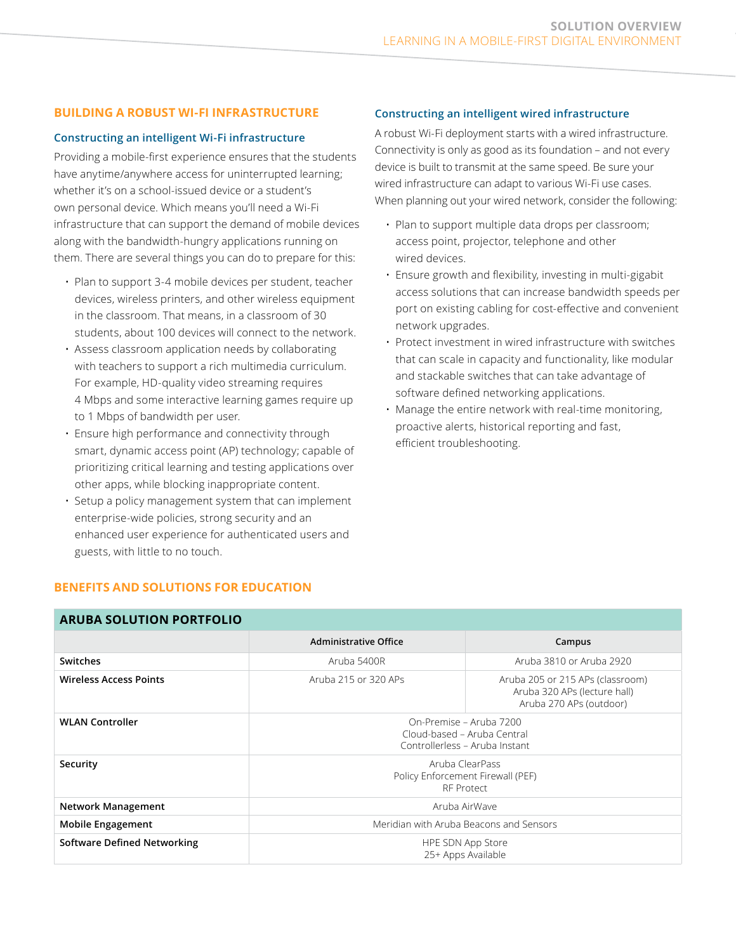# **BUILDING A ROBUST WI-FI INFRASTRUCTURE**

# **Constructing an intelligent Wi-Fi infrastructure**

Providing a mobile-first experience ensures that the students have anytime/anywhere access for uninterrupted learning; whether it's on a school-issued device or a student's own personal device. Which means you'll need a Wi-Fi infrastructure that can support the demand of mobile devices along with the bandwidth-hungry applications running on them. There are several things you can do to prepare for this:

- Plan to support 3-4 mobile devices per student, teacher devices, wireless printers, and other wireless equipment in the classroom. That means, in a classroom of 30 students, about 100 devices will connect to the network.
- Assess classroom application needs by collaborating with teachers to support a rich multimedia curriculum. For example, HD-quality video streaming requires 4 Mbps and some interactive learning games require up to 1 Mbps of bandwidth per user.
- Ensure high performance and connectivity through smart, dynamic access point (AP) technology; capable of prioritizing critical learning and testing applications over other apps, while blocking inappropriate content.
- Setup a policy management system that can implement enterprise-wide policies, strong security and an enhanced user experience for authenticated users and guests, with little to no touch.

# **Constructing an intelligent wired infrastructure**

A robust Wi-Fi deployment starts with a wired infrastructure. Connectivity is only as good as its foundation – and not every device is built to transmit at the same speed. Be sure your wired infrastructure can adapt to various Wi-Fi use cases. When planning out your wired network, consider the following:

- Plan to support multiple data drops per classroom; access point, projector, telephone and other wired devices.
- Ensure growth and flexibility, investing in multi-gigabit access solutions that can increase bandwidth speeds per port on existing cabling for cost-effective and convenient network upgrades.
- Protect investment in wired infrastructure with switches that can scale in capacity and functionality, like modular and stackable switches that can take advantage of software defined networking applications.
- Manage the entire network with real-time monitoring, proactive alerts, historical reporting and fast, efficient troubleshooting.

| <b>ARUBA SOLUTION PORTFOLIO</b>    |                                                                                          |                                                                                             |
|------------------------------------|------------------------------------------------------------------------------------------|---------------------------------------------------------------------------------------------|
|                                    | Administrative Office                                                                    | Campus                                                                                      |
| Switches                           | Aruba 5400R                                                                              | Aruba 3810 or Aruba 2920                                                                    |
| <b>Wireless Access Points</b>      | Aruba 215 or 320 APs                                                                     | Aruba 205 or 215 APs (classroom)<br>Aruba 320 APs (lecture hall)<br>Aruba 270 APs (outdoor) |
| <b>WLAN Controller</b>             | On-Premise – Aruba 7200<br>Cloud-based - Aruba Central<br>Controllerless - Aruba Instant |                                                                                             |
| Security                           | Aruba ClearPass<br>Policy Enforcement Firewall (PEF)<br><b>RF Protect</b>                |                                                                                             |
| <b>Network Management</b>          | Aruba AirWaye                                                                            |                                                                                             |
| <b>Mobile Engagement</b>           | Meridian with Aruba Beacons and Sensors                                                  |                                                                                             |
| <b>Software Defined Networking</b> | HPE SDN App Store<br>25+ Apps Available                                                  |                                                                                             |

**BENEFITS AND SOLUTIONS FOR EDUCATION**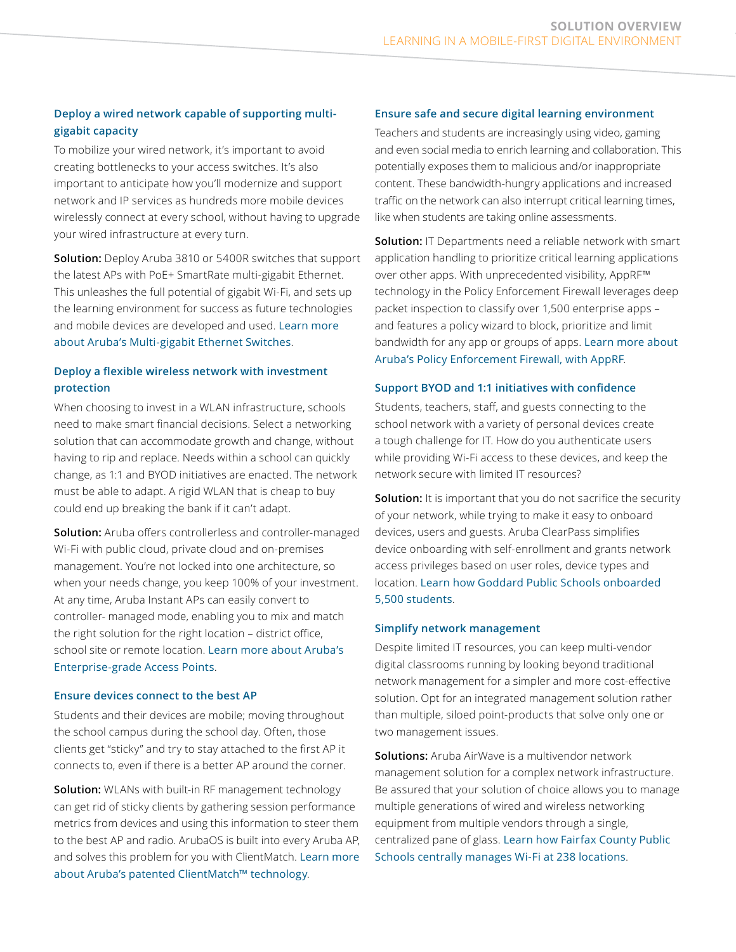# **Deploy a wired network capable of supporting multigigabit capacity**

To mobilize your wired network, it's important to avoid creating bottlenecks to your access switches. It's also important to anticipate how you'll modernize and support network and IP services as hundreds more mobile devices wirelessly connect at every school, without having to upgrade your wired infrastructure at every turn.

**Solution:** Deploy Aruba 3810 or 5400R switches that support the latest APs with PoE+ SmartRate multi-gigabit Ethernet. This unleashes the full potential of gigabit Wi-Fi, and sets up the learning environment for success as future technologies and mobile devices are developed and used. [Learn more](http://www.arubanetworks.com/products/networking/switches/)  [about Aruba's Multi-gigabit Ethernet Switches](http://www.arubanetworks.com/products/networking/switches/).

# **Deploy a flexible wireless network with investment protection**

When choosing to invest in a WLAN infrastructure, schools need to make smart financial decisions. Select a networking solution that can accommodate growth and change, without having to rip and replace. Needs within a school can quickly change, as 1:1 and BYOD initiatives are enacted. The network must be able to adapt. A rigid WLAN that is cheap to buy could end up breaking the bank if it can't adapt.

**Solution:** Aruba offers controllerless and controller-managed Wi-Fi with public cloud, private cloud and on-premises management. You're not locked into one architecture, so when your needs change, you keep 100% of your investment. At any time, Aruba Instant APs can easily convert to controller- managed mode, enabling you to mix and match the right solution for the right location – district office, school site or remote location. [Learn more about Aruba's](http://www.arubanetworks.com/products/networking/access-points/)  [Enterprise-grade Access Points](http://www.arubanetworks.com/products/networking/access-points/).

# **Ensure devices connect to the best AP**

Students and their devices are mobile; moving throughout the school campus during the school day. Often, those clients get "sticky" and try to stay attached to the first AP it connects to, even if there is a better AP around the corner.

**Solution:** WLANs with built-in RF management technology can get rid of sticky clients by gathering session performance metrics from devices and using this information to steer them to the best AP and radio. ArubaOS is built into every Aruba AP, and solves this problem for you with ClientMatch. [Learn more](http://www.arubanetworks.com/pdf/solutions/TB_ClientMatch.pdf)  [about Aruba's patented ClientMatch™ technology](http://www.arubanetworks.com/pdf/solutions/TB_ClientMatch.pdf).

# **Ensure safe and secure digital learning environment**

Teachers and students are increasingly using video, gaming and even social media to enrich learning and collaboration. This potentially exposes them to malicious and/or inappropriate content. These bandwidth-hungry applications and increased traffic on the network can also interrupt critical learning times, like when students are taking online assessments.

**Solution:** IT Departments need a reliable network with smart application handling to prioritize critical learning applications over other apps. With unprecedented visibility, AppRF™ technology in the Policy Enforcement Firewall leverages deep packet inspection to classify over 1,500 enterprise apps – and features a policy wizard to block, prioritize and limit bandwidth for any app or groups of apps. [Learn more about](http://www.arubanetworks.com/assets/ds/DS_PEF.pdf)  [Aruba's Policy Enforcement Firewall, with AppRF](http://www.arubanetworks.com/assets/ds/DS_PEF.pdf).

# **Support BYOD and 1:1 initiatives with confidence**

Students, teachers, staff, and guests connecting to the school network with a variety of personal devices create a tough challenge for IT. How do you authenticate users while providing Wi-Fi access to these devices, and keep the network secure with limited IT resources?

**Solution:** It is important that you do not sacrifice the security of your network, while trying to make it easy to onboard devices, users and guests. Aruba ClearPass simplifies device onboarding with self-enrollment and grants network access privileges based on user roles, device types and location. [Learn how Goddard Public Schools onboarded](http://www.arubanetworks.com/pdf/solutions/CS_Goddard.pdf)  [5,500 students](http://www.arubanetworks.com/pdf/solutions/CS_Goddard.pdf).

# **Simplify network management**

Despite limited IT resources, you can keep multi-vendor digital classrooms running by looking beyond traditional network management for a simpler and more cost-effective solution. Opt for an integrated management solution rather than multiple, siloed point-products that solve only one or two management issues.

**Solutions:** Aruba AirWave is a multivendor network management solution for a complex network infrastructure. Be assured that your solution of choice allows you to manage multiple generations of wired and wireless networking equipment from multiple vendors through a single, centralized pane of glass. [Learn how Fairfax County Public](http://www.arubanetworks.com/pdf/solutions/CS_FAIRFAX-SCHOOLS-wireless-management.pdf)  [Schools centrally manages Wi-Fi at 238 locations](http://www.arubanetworks.com/pdf/solutions/CS_FAIRFAX-SCHOOLS-wireless-management.pdf).